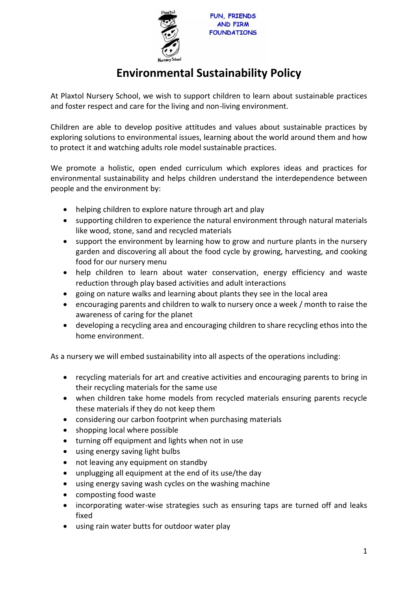

## **Environmental Sustainability Policy**

At Plaxtol Nursery School, we wish to support children to learn about sustainable practices and foster respect and care for the living and non-living environment.

Children are able to develop positive attitudes and values about sustainable practices by exploring solutions to environmental issues, learning about the world around them and how to protect it and watching adults role model sustainable practices.

We promote a holistic, open ended curriculum which explores ideas and practices for environmental sustainability and helps children understand the interdependence between people and the environment by:

- helping children to explore nature through art and play
- supporting children to experience the natural environment through natural materials like wood, stone, sand and recycled materials
- support the environment by learning how to grow and nurture plants in the nursery garden and discovering all about the food cycle by growing, harvesting, and cooking food for our nursery menu
- help children to learn about water conservation, energy efficiency and waste reduction through play based activities and adult interactions
- going on nature walks and learning about plants they see in the local area
- encouraging parents and children to walk to nursery once a week / month to raise the awareness of caring for the planet
- developing a recycling area and encouraging children to share recycling ethos into the home environment.

As a nursery we will embed sustainability into all aspects of the operations including:

- recycling materials for art and creative activities and encouraging parents to bring in their recycling materials for the same use
- when children take home models from recycled materials ensuring parents recycle these materials if they do not keep them
- considering our carbon footprint when purchasing materials
- shopping local where possible
- turning off equipment and lights when not in use
- using energy saving light bulbs
- not leaving any equipment on standby
- unplugging all equipment at the end of its use/the day
- using energy saving wash cycles on the washing machine
- composting food waste
- incorporating water-wise strategies such as ensuring taps are turned off and leaks fixed
- using rain water butts for outdoor water play